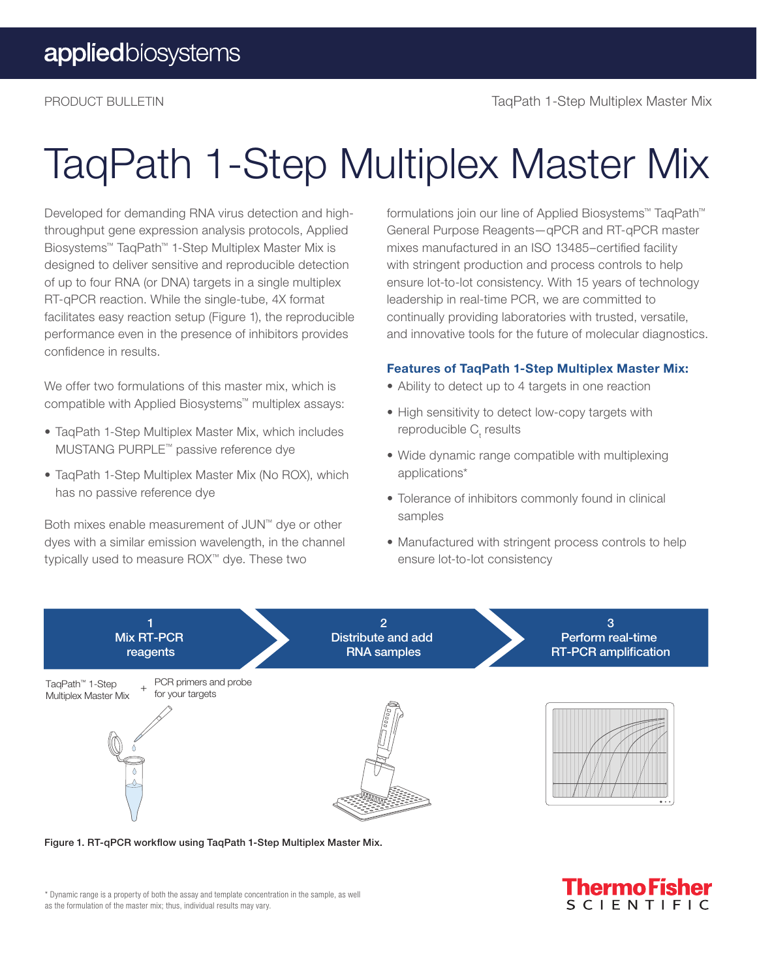## TaqPath 1-Step Multiplex Master Mix

Developed for demanding RNA virus detection and highthroughput gene expression analysis protocols, Applied Biosystems™ TaqPath™ 1-Step Multiplex Master Mix is designed to deliver sensitive and reproducible detection of up to four RNA (or DNA) targets in a single multiplex RT-qPCR reaction. While the single-tube, 4X format facilitates easy reaction setup (Figure 1), the reproducible performance even in the presence of inhibitors provides confidence in results.

We offer two formulations of this master mix, which is compatible with Applied Biosystems™ multiplex assays:

- TaqPath 1-Step Multiplex Master Mix, which includes MUSTANG PURPLE™ passive reference dye
- TaqPath 1-Step Multiplex Master Mix (No ROX), which has no passive reference dye

Both mixes enable measurement of JUN™ dye or other dyes with a similar emission wavelength, in the channel typically used to measure ROX™ dye. These two

formulations join our line of Applied Biosystems™ TaqPath™ General Purpose Reagents—qPCR and RT-qPCR master mixes manufactured in an ISO 13485–certified facility with stringent production and process controls to help ensure lot-to-lot consistency. With 15 years of technology leadership in real-time PCR, we are committed to continually providing laboratories with trusted, versatile, and innovative tools for the future of molecular diagnostics.

#### Features of TaqPath 1-Step Multiplex Master Mix:

- Ability to detect up to 4 targets in one reaction
- High sensitivity to detect low-copy targets with reproducible C<sub>t</sub> results
- Wide dynamic range compatible with multiplexing applications\*
- Tolerance of inhibitors commonly found in clinical samples
- Manufactured with stringent process controls to help ensure lot-to-lot consistency

<u> Fhermo Fi</u>

SCIENTIFIC



Figure 1. RT-qPCR workflow using TaqPath 1-Step Multiplex Master Mix.

\* Dynamic range is a property of both the assay and template concentration in the sample, as well as the formulation of the master mix; thus, individual results may vary.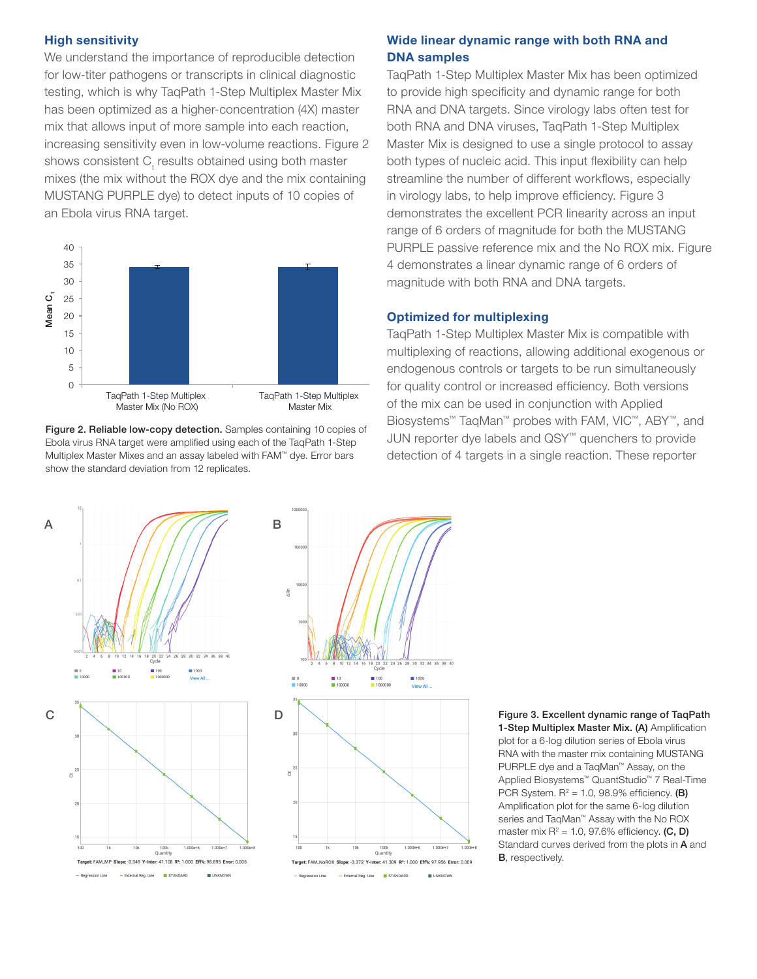#### High sensitivity

We understand the importance of reproducible detection for low-titer pathogens or transcripts in clinical diagnostic testing, which is why TaqPath 1-Step Multiplex Master Mix has been optimized as a higher-concentration (4X) master mix that allows input of more sample into each reaction, increasing sensitivity even in low-volume reactions. Figure 2 shows consistent  $\mathsf{C}_\mathsf{t}$  results obtained using both master mixes (the mix without the ROX dye and the mix containing MUSTANG PURPLE dye) to detect inputs of 10 copies of an Ebola virus RNA target.



Figure 2. Reliable low-copy detection. Samples containing 10 copies of Ebola virus RNA target were amplified using each of the TaqPath 1-Step Multiplex Master Mixes and an assay labeled with FAM™ dye. Error bars show the standard deviation from 12 replicates.

#### Wide linear dynamic range with both RNA and DNA samples

TaqPath 1-Step Multiplex Master Mix has been optimized to provide high specificity and dynamic range for both RNA and DNA targets. Since virology labs often test for both RNA and DNA viruses, TaqPath 1-Step Multiplex Master Mix is designed to use a single protocol to assay both types of nucleic acid. This input flexibility can help streamline the number of different workflows, especially in virology labs, to help improve efficiency. Figure 3 demonstrates the excellent PCR linearity across an input range of 6 orders of magnitude for both the MUSTANG PURPLE passive reference mix and the No ROX mix. Figure 4 demonstrates a linear dynamic range of 6 orders of magnitude with both RNA and DNA targets.

#### Optimized for multiplexing

TaqPath 1-Step Multiplex Master Mix is compatible with multiplexing of reactions, allowing additional exogenous or endogenous controls or targets to be run simultaneously for quality control or increased efficiency. Both versions of the mix can be used in conjunction with Applied Biosystems™ TaqMan™ probes with FAM, VIC™, ABY™, and JUN reporter dye labels and QSY™ quenchers to provide detection of 4 targets in a single reaction. These reporter



1-Step Multiplex Master Mix. (A) Amplification plot for a 6-log dilution series of Ebola virus RNA with the master mix containing MUSTANG PURPLE dye and a TaqMan™ Assay, on the Applied Biosystems™ QuantStudio™ 7 Real-Time PCR System.  $R^2 = 1.0$ , 98.9% efficiency. (B) Amplification plot for the same 6-log dilution series and TaqMan™ Assay with the No ROX master mix  $R^2$  = 1.0, 97.6% efficiency. (C, D) Standard curves derived from the plots in A and B, respectively.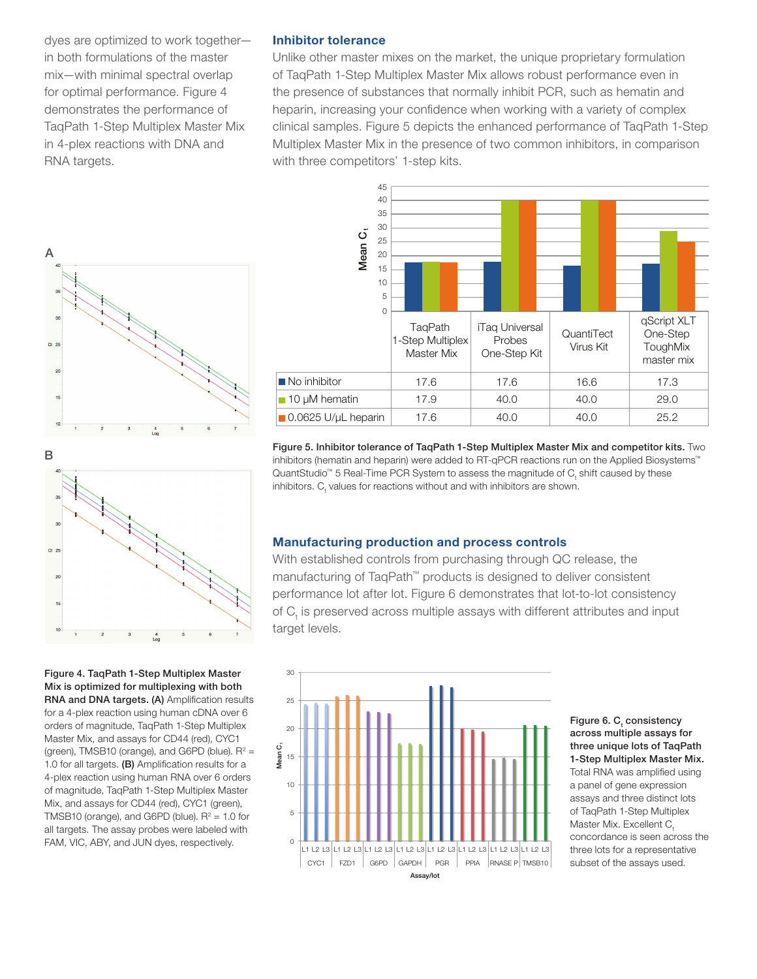dyes are optimized to work together in both formulations of the master mix—with minimal spectral overlap for optimal performance. Figure 4 demonstrates the performance of TaqPath 1-Step Multiplex Master Mix in 4-plex reactions with DNA and RNA targets.

#### Inhibitor tolerance

Unlike other master mixes on the market, the unique proprietary formulation of TaqPath 1-Step Multiplex Master Mix allows robust performance even in the presence of substances that normally inhibit PCR, such as hematin and heparin, increasing your confidence when working with a variety of complex clinical samples. Figure 5 depicts the enhanced performance of TaqPath 1-Step Multiplex Master Mix in the presence of two common inhibitors, in comparison with three competitors' 1-step kits.





Figure 4. TaqPath 1-Step Multiplex Master Mix is optimized for multiplexing with both RNA and DNA targets. (A) Amplification results for a 4-plex reaction using human cDNA over 6 orders of magnitude, TaqPath 1-Step Multiplex Master Mix, and assays for CD44 (red), CYC1 (green), TMSB10 (orange), and G6PD (blue).  $R^2 =$ 1.0 for all targets.  $(B)$  Amplification results for a 4-plex reaction using human RNA over 6 orders of magnitude, TaqPath 1-Step Multiplex Master Mix, and assays for CD44 (red), CYC1 (green), TMSB10 (orange), and G6PD (blue).  $R^2 = 1.0$  for all targets. The assay probes were labeled with FAM, VIC, ABY, and JUN dyes, respectively.



Figure 5. Inhibitor tolerance of TaqPath 1-Step Multiplex Master Mix and competitor kits. Two inhibitors (hematin and heparin) were added to RT-qPCR reactions run on the Applied Biosystems™ QuantStudio™ 5 Real-Time PCR System to assess the magnitude of  $C_{t}$  shift caused by these inhibitors.  $C_{t}$  values for reactions without and with inhibitors are shown.

#### Manufacturing production and process controls

With established controls from purchasing through QC release, the manufacturing of TaqPath™ products is designed to deliver consistent performance lot after lot. Figure 6 demonstrates that lot-to-lot consistency of  $C_t$  is preserved across multiple assays with different attributes and input target levels.



Figure 6. C<sub>t</sub> consistency across multiple assays for three unique lots of TaqPath 1-Step Multiplex Master Mix. Total RNA was amplified using a panel of gene expression assays and three distinct lots of TaqPath 1-Step Multiplex Master Mix. Excellent C. concordance is seen across the three lots for a representative subset of the assays used.